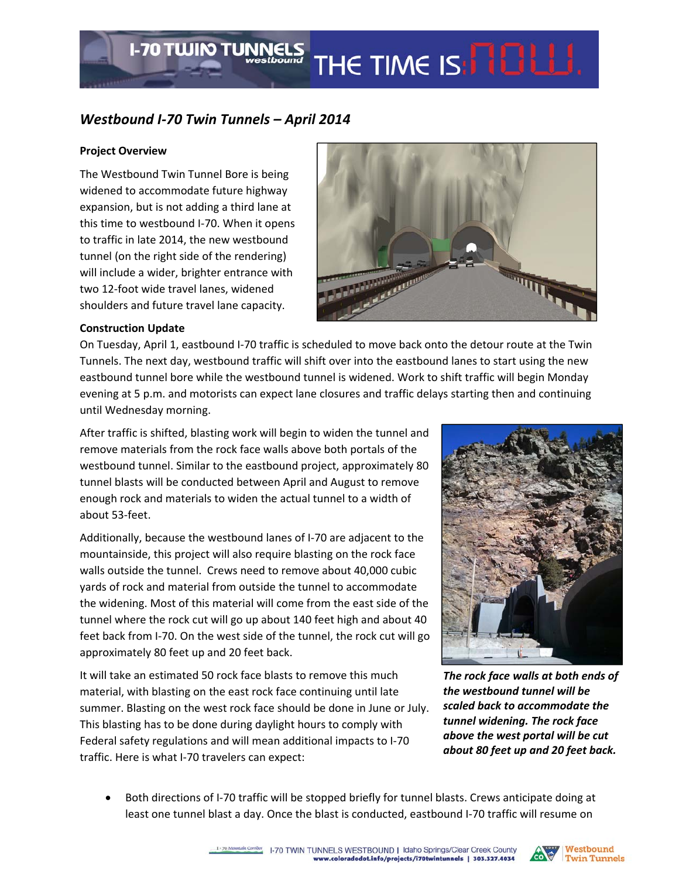# *Westbound I‐70 Twin Tunnels – April 2014*

**I-70 TWIN TUNNELS** 

### **Project Overview**

The Westbound Twin Tunnel Bore is being widened to accommodate future highway expansion, but is not adding a third lane at this time to westbound I‐70. When it opens to traffic in late 2014, the new westbound tunnel (on the right side of the rendering) will include a wider, brighter entrance with two 12‐foot wide travel lanes, widened shoulders and future travel lane capacity.



THE TIME IS: **NOW!** 

#### **Construction Update**

On Tuesday, April 1, eastbound I‐70 traffic is scheduled to move back onto the detour route at the Twin Tunnels. The next day, westbound traffic will shift over into the eastbound lanes to start using the new eastbound tunnel bore while the westbound tunnel is widened. Work to shift traffic will begin Monday evening at 5 p.m. and motorists can expect lane closures and traffic delays starting then and continuing until Wednesday morning.

After traffic is shifted, blasting work will begin to widen the tunnel and remove materials from the rock face walls above both portals of the westbound tunnel. Similar to the eastbound project, approximately 80 tunnel blasts will be conducted between April and August to remove enough rock and materials to widen the actual tunnel to a width of about 53‐feet.

Additionally, because the westbound lanes of I‐70 are adjacent to the mountainside, this project will also require blasting on the rock face walls outside the tunnel. Crews need to remove about 40,000 cubic yards of rock and material from outside the tunnel to accommodate the widening. Most of this material will come from the east side of the tunnel where the rock cut will go up about 140 feet high and about 40 feet back from I‐70. On the west side of the tunnel, the rock cut will go approximately 80 feet up and 20 feet back.

It will take an estimated 50 rock face blasts to remove this much material, with blasting on the east rock face continuing until late summer. Blasting on the west rock face should be done in June or July. This blasting has to be done during daylight hours to comply with Federal safety regulations and will mean additional impacts to I‐70 traffic. Here is what I‐70 travelers can expect:



*The rock face walls at both ends of the westbound tunnel will be scaled back to accommodate the tunnel widening. The rock face above the west portal will be cut about 80 feet up and 20 feet back.*

 Both directions of I‐70 traffic will be stopped briefly for tunnel blasts. Crews anticipate doing at least one tunnel blast a day. Once the blast is conducted, eastbound I‐70 traffic will resume on